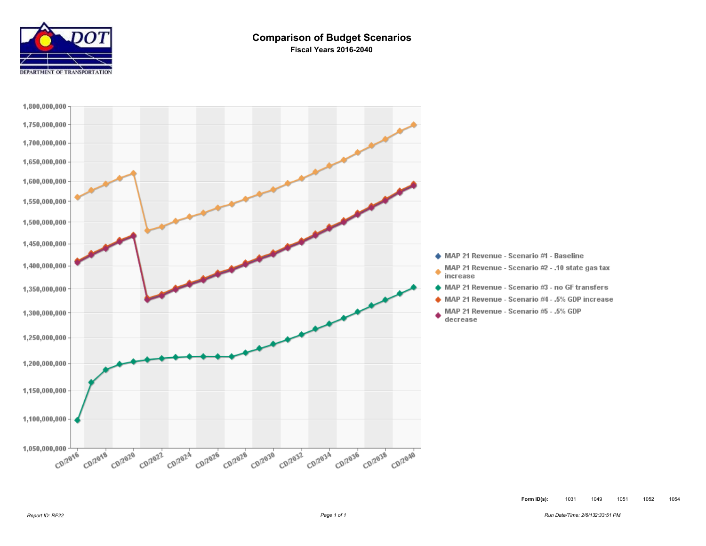

#### **Comparison of Budget Scenarios Fiscal Years 2016-2040**

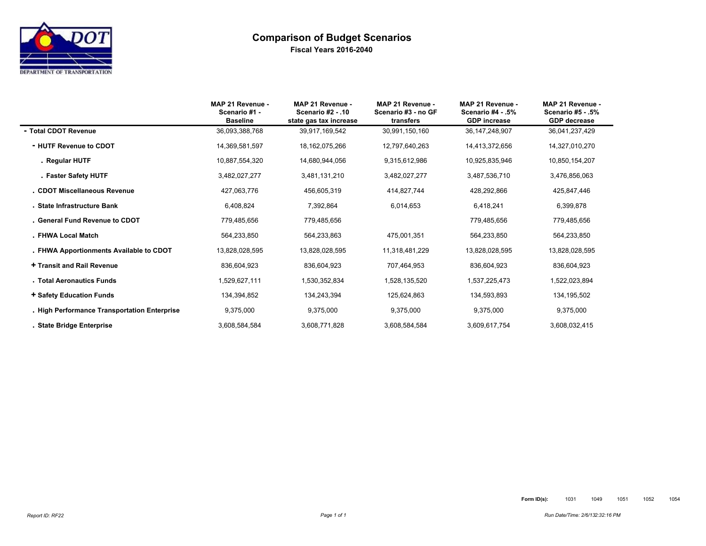

#### **Comparison of Budget Scenarios Fiscal Years 2016-2040**

|                                              | MAP 21 Revenue -<br>Scenario #1 -<br><b>Baseline</b> | MAP 21 Revenue -<br>Scenario #2 - .10<br>state gas tax increase | MAP 21 Revenue -<br>Scenario #3 - no GF<br>transfers | MAP 21 Revenue -<br>Scenario #4 - .5%<br><b>GDP</b> increase | MAP 21 Revenue -<br>Scenario #5 - .5%<br><b>GDP</b> decrease |
|----------------------------------------------|------------------------------------------------------|-----------------------------------------------------------------|------------------------------------------------------|--------------------------------------------------------------|--------------------------------------------------------------|
| - Total CDOT Revenue                         | 36,093,388,768                                       | 39.917.169.542                                                  | 30.991.150.160                                       | 36.147.248.907                                               | 36.041.237.429                                               |
| - HUTF Revenue to CDOT                       | 14,369,581,597                                       | 18, 162, 075, 266                                               | 12,797,640,263                                       | 14,413,372,656                                               | 14,327,010,270                                               |
| . Regular HUTF                               | 10,887,554,320                                       | 14,680,944,056                                                  | 9,315,612,986                                        | 10,925,835,946                                               | 10,850,154,207                                               |
| . Faster Safety HUTF                         | 3,482,027,277                                        | 3,481,131,210                                                   | 3,482,027,277                                        | 3,487,536,710                                                | 3,476,856,063                                                |
| . CDOT Miscellaneous Revenue                 | 427,063,776                                          | 456,605,319                                                     | 414,827,744                                          | 428,292,866                                                  | 425,847,446                                                  |
| . State Infrastructure Bank                  | 6,408,824                                            | 7,392,864                                                       | 6,014,653                                            | 6,418,241                                                    | 6,399,878                                                    |
| . General Fund Revenue to CDOT               | 779,485,656                                          | 779,485,656                                                     |                                                      | 779,485,656                                                  | 779,485,656                                                  |
| . FHWA Local Match                           | 564,233,850                                          | 564,233,863                                                     | 475,001,351                                          | 564,233,850                                                  | 564,233,850                                                  |
| . FHWA Apportionments Available to CDOT      | 13,828,028,595                                       | 13,828,028,595                                                  | 11,318,481,229                                       | 13,828,028,595                                               | 13,828,028,595                                               |
| + Transit and Rail Revenue                   | 836,604,923                                          | 836,604,923                                                     | 707,464,953                                          | 836,604,923                                                  | 836,604,923                                                  |
| . Total Aeronautics Funds                    | 1,529,627,111                                        | 1,530,352,834                                                   | 1,528,135,520                                        | 1,537,225,473                                                | 1,522,023,894                                                |
| + Safety Education Funds                     | 134,394,852                                          | 134,243,394                                                     | 125,624,863                                          | 134,593,893                                                  | 134,195,502                                                  |
| - High Performance Transportation Enterprise | 9,375,000                                            | 9,375,000                                                       | 9,375,000                                            | 9,375,000                                                    | 9,375,000                                                    |
| . State Bridge Enterprise                    | 3,608,584,584                                        | 3,608,771,828                                                   | 3,608,584,584                                        | 3,609,617,754                                                | 3,608,032,415                                                |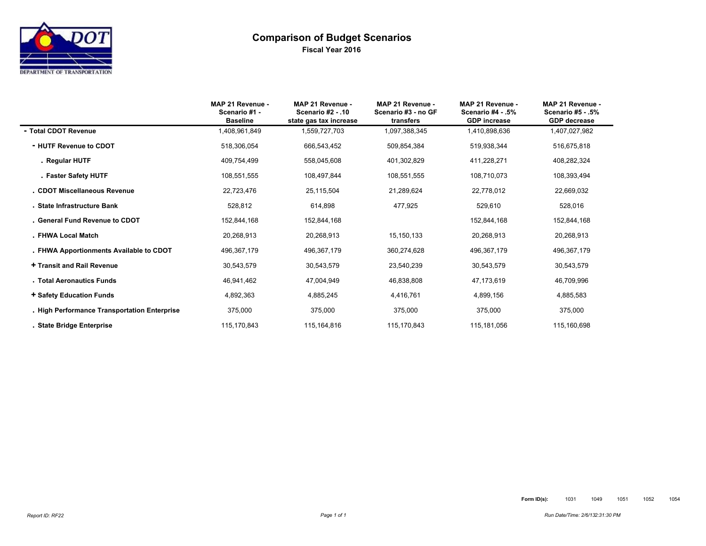# **Comparison of Budget Scenarios Fiscal Year 2016**

|                                              | MAP 21 Revenue -<br>Scenario #1 -<br><b>Baseline</b> | MAP 21 Revenue -<br>Scenario #2 - .10<br>state gas tax increase | MAP 21 Revenue -<br>Scenario #3 - no GF<br>transfers | MAP 21 Revenue -<br>Scenario #4 - .5%<br><b>GDP</b> increase | MAP 21 Revenue -<br>Scenario #5 - .5%<br><b>GDP</b> decrease |
|----------------------------------------------|------------------------------------------------------|-----------------------------------------------------------------|------------------------------------------------------|--------------------------------------------------------------|--------------------------------------------------------------|
| - Total CDOT Revenue                         | 1,408,961,849                                        | 1,559,727,703                                                   | 1.097.388.345                                        | 1,410,898,636                                                | 1,407,027,982                                                |
| - HUTF Revenue to CDOT                       | 518,306,054                                          | 666,543,452                                                     | 509,854,384                                          | 519,938,344                                                  | 516,675,818                                                  |
| . Regular HUTF                               | 409,754,499                                          | 558,045,608                                                     | 401,302,829                                          | 411,228,271                                                  | 408,282,324                                                  |
| . Faster Safety HUTF                         | 108,551,555                                          | 108,497,844                                                     | 108,551,555                                          | 108,710,073                                                  | 108,393,494                                                  |
| . CDOT Miscellaneous Revenue                 | 22,723,476                                           | 25,115,504                                                      | 21,289,624                                           | 22,778,012                                                   | 22,669,032                                                   |
| . State Infrastructure Bank                  | 528,812                                              | 614.898                                                         | 477,925                                              | 529,610                                                      | 528,016                                                      |
| . General Fund Revenue to CDOT               | 152,844,168                                          | 152,844,168                                                     |                                                      | 152,844,168                                                  | 152,844,168                                                  |
| . FHWA Local Match                           | 20,268,913                                           | 20,268,913                                                      | 15,150,133                                           | 20,268,913                                                   | 20,268,913                                                   |
| . FHWA Apportionments Available to CDOT      | 496,367,179                                          | 496,367,179                                                     | 360,274,628                                          | 496,367,179                                                  | 496,367,179                                                  |
| + Transit and Rail Revenue                   | 30,543,579                                           | 30,543,579                                                      | 23,540,239                                           | 30,543,579                                                   | 30,543,579                                                   |
| . Total Aeronautics Funds                    | 46,941,462                                           | 47,004,949                                                      | 46,838,808                                           | 47,173,619                                                   | 46,709,996                                                   |
| + Safety Education Funds                     | 4,892,363                                            | 4,885,245                                                       | 4,416,761                                            | 4,899,156                                                    | 4,885,583                                                    |
| - High Performance Transportation Enterprise | 375,000                                              | 375,000                                                         | 375,000                                              | 375,000                                                      | 375,000                                                      |
| . State Bridge Enterprise                    | 115,170,843                                          | 115,164,816                                                     | 115,170,843                                          | 115,181,056                                                  | 115,160,698                                                  |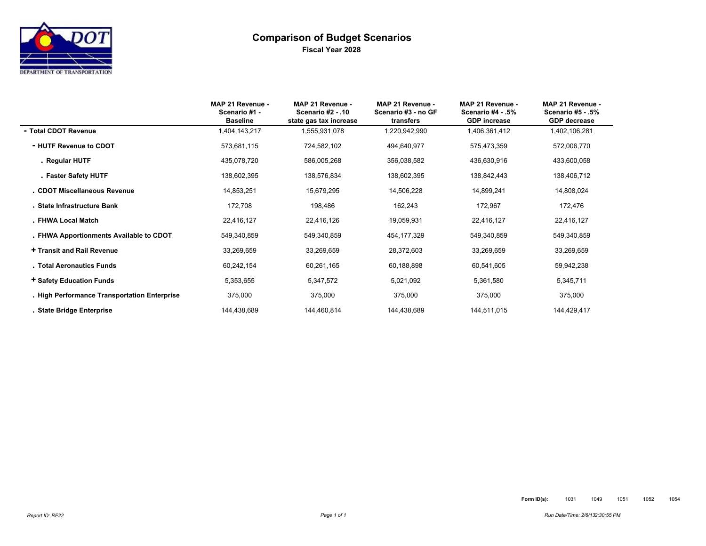# **Comparison of Budget Scenarios Fiscal Year 2028**

|                                              | MAP 21 Revenue -<br>Scenario #1 -<br><b>Baseline</b> | MAP 21 Revenue -<br><b>Scenario #2 - 10</b><br>state gas tax increase | MAP 21 Revenue -<br>Scenario #3 - no GF<br>transfers | MAP 21 Revenue -<br>Scenario #4 - .5%<br><b>GDP</b> increase | MAP 21 Revenue -<br><b>Scenario #5 - .5%</b><br><b>GDP</b> decrease |
|----------------------------------------------|------------------------------------------------------|-----------------------------------------------------------------------|------------------------------------------------------|--------------------------------------------------------------|---------------------------------------------------------------------|
| - Total CDOT Revenue                         | 1,404,143,217                                        | 1,555,931,078                                                         | 1,220,942,990                                        | 1,406,361,412                                                | 1,402,106,281                                                       |
| - HUTF Revenue to CDOT                       | 573,681,115                                          | 724,582,102                                                           | 494,640,977                                          | 575,473,359                                                  | 572,006,770                                                         |
| . Regular HUTF                               | 435,078,720                                          | 586,005,268                                                           | 356,038,582                                          | 436,630,916                                                  | 433,600,058                                                         |
| . Faster Safety HUTF                         | 138,602,395                                          | 138,576,834                                                           | 138,602,395                                          | 138,842,443                                                  | 138,406,712                                                         |
| . CDOT Miscellaneous Revenue                 | 14,853,251                                           | 15,679,295                                                            | 14,506,228                                           | 14,899,241                                                   | 14,808,024                                                          |
| . State Infrastructure Bank                  | 172,708                                              | 198,486                                                               | 162,243                                              | 172,967                                                      | 172,476                                                             |
| . FHWA Local Match                           | 22,416,127                                           | 22,416,126                                                            | 19,059,931                                           | 22,416,127                                                   | 22,416,127                                                          |
| . FHWA Apportionments Available to CDOT      | 549,340,859                                          | 549,340,859                                                           | 454, 177, 329                                        | 549,340,859                                                  | 549,340,859                                                         |
| + Transit and Rail Revenue                   | 33,269,659                                           | 33,269,659                                                            | 28,372,603                                           | 33,269,659                                                   | 33,269,659                                                          |
| . Total Aeronautics Funds                    | 60,242,154                                           | 60,261,165                                                            | 60,188,898                                           | 60,541,605                                                   | 59,942,238                                                          |
| + Safety Education Funds                     | 5,353,655                                            | 5,347,572                                                             | 5,021,092                                            | 5,361,580                                                    | 5,345,711                                                           |
| . High Performance Transportation Enterprise | 375,000                                              | 375,000                                                               | 375,000                                              | 375,000                                                      | 375,000                                                             |
| . State Bridge Enterprise                    | 144,438,689                                          | 144,460,814                                                           | 144,438,689                                          | 144,511,015                                                  | 144,429,417                                                         |